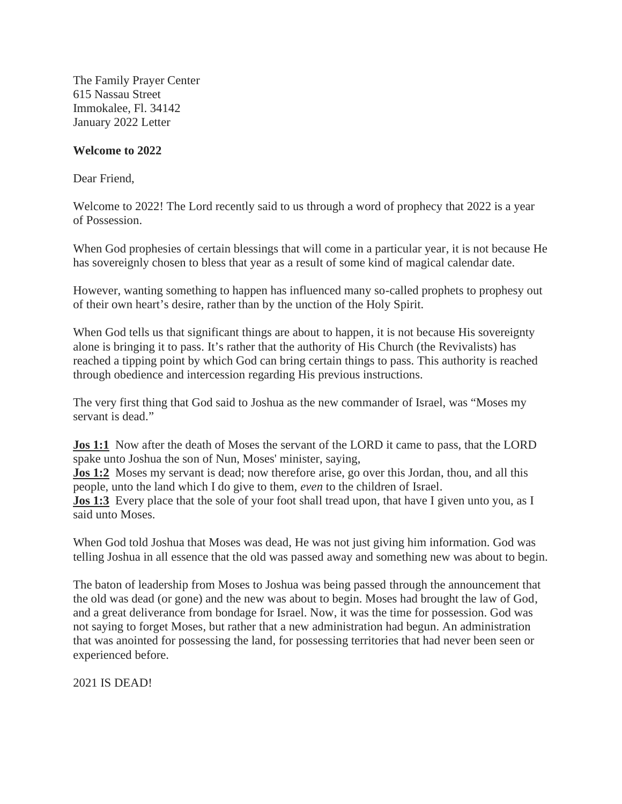The Family Prayer Center 615 Nassau Street Immokalee, Fl. 34142 January 2022 Letter

## **Welcome to 2022**

Dear Friend,

Welcome to 2022! The Lord recently said to us through a word of prophecy that 2022 is a year of Possession.

When God prophesies of certain blessings that will come in a particular year, it is not because He has sovereignly chosen to bless that year as a result of some kind of magical calendar date.

However, wanting something to happen has influenced many so-called prophets to prophesy out of their own heart's desire, rather than by the unction of the Holy Spirit.

When God tells us that significant things are about to happen, it is not because His sovereignty alone is bringing it to pass. It's rather that the authority of His Church (the Revivalists) has reached a tipping point by which God can bring certain things to pass. This authority is reached through obedience and intercession regarding His previous instructions.

The very first thing that God said to Joshua as the new commander of Israel, was "Moses my servant is dead."

**Jos 1:1** Now after the death of Moses the servant of the LORD it came to pass, that the LORD spake unto Joshua the son of Nun, Moses' minister, saying,

**Jos 1:2** Moses my servant is dead; now therefore arise, go over this Jordan, thou, and all this people, unto the land which I do give to them, *even* to the children of Israel.

**Jos 1:3** Every place that the sole of your foot shall tread upon, that have I given unto you, as I said unto Moses.

When God told Joshua that Moses was dead, He was not just giving him information. God was telling Joshua in all essence that the old was passed away and something new was about to begin.

The baton of leadership from Moses to Joshua was being passed through the announcement that the old was dead (or gone) and the new was about to begin. Moses had brought the law of God, and a great deliverance from bondage for Israel. Now, it was the time for possession. God was not saying to forget Moses, but rather that a new administration had begun. An administration that was anointed for possessing the land, for possessing territories that had never been seen or experienced before.

2021 IS DEAD!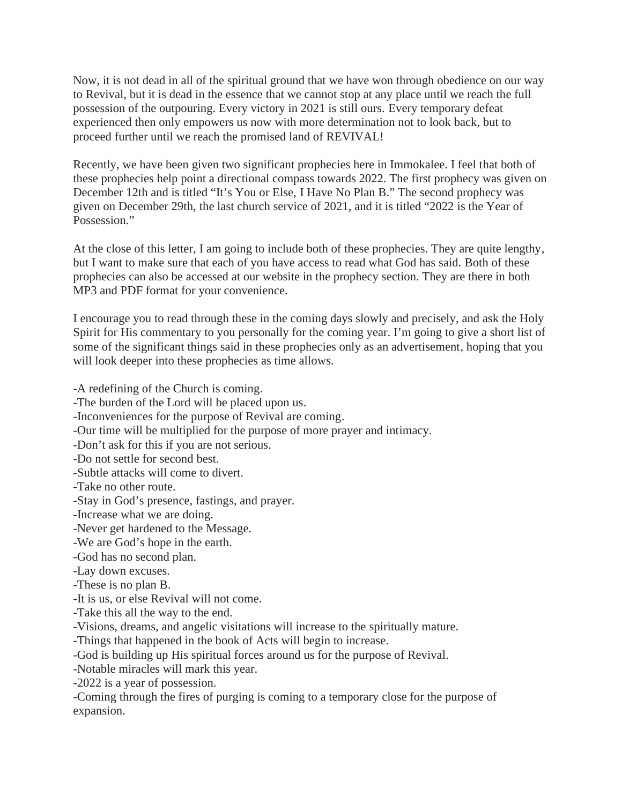Now, it is not dead in all of the spiritual ground that we have won through obedience on our way to Revival, but it is dead in the essence that we cannot stop at any place until we reach the full possession of the outpouring. Every victory in 2021 is still ours. Every temporary defeat experienced then only empowers us now with more determination not to look back, but to proceed further until we reach the promised land of REVIVAL!

Recently, we have been given two significant prophecies here in Immokalee. I feel that both of these prophecies help point a directional compass towards 2022. The first prophecy was given on December 12th and is titled "It's You or Else, I Have No Plan B." The second prophecy was given on December 29th, the last church service of 2021, and it is titled "2022 is the Year of Possession."

At the close of this letter, I am going to include both of these prophecies. They are quite lengthy, but I want to make sure that each of you have access to read what God has said. Both of these prophecies can also be accessed at our website in the prophecy section. They are there in both MP3 and PDF format for your convenience.

I encourage you to read through these in the coming days slowly and precisely, and ask the Holy Spirit for His commentary to you personally for the coming year. I'm going to give a short list of some of the significant things said in these prophecies only as an advertisement, hoping that you will look deeper into these prophecies as time allows.

-A redefining of the Church is coming.

-The burden of the Lord will be placed upon us.

-Inconveniences for the purpose of Revival are coming.

-Our time will be multiplied for the purpose of more prayer and intimacy.

-Don't ask for this if you are not serious.

-Do not settle for second best.

-Subtle attacks will come to divert.

-Take no other route.

-Stay in God's presence, fastings, and prayer.

-Increase what we are doing.

-Never get hardened to the Message.

-We are God's hope in the earth.

-God has no second plan.

-Lay down excuses.

-These is no plan B.

-It is us, or else Revival will not come.

-Take this all the way to the end.

-Visions, dreams, and angelic visitations will increase to the spiritually mature.

-Things that happened in the book of Acts will begin to increase.

-God is building up His spiritual forces around us for the purpose of Revival.

-Notable miracles will mark this year.

-2022 is a year of possession.

-Coming through the fires of purging is coming to a temporary close for the purpose of expansion.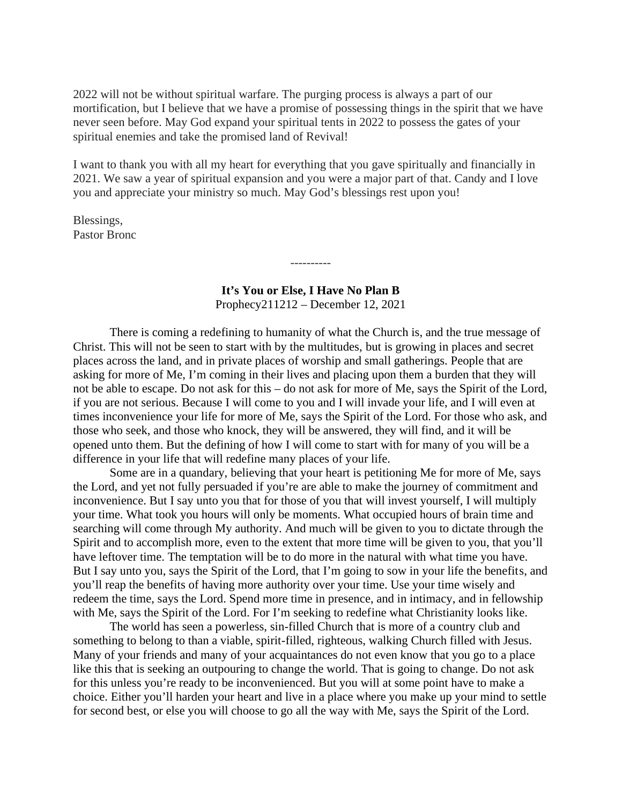2022 will not be without spiritual warfare. The purging process is always a part of our mortification, but I believe that we have a promise of possessing things in the spirit that we have never seen before. May God expand your spiritual tents in 2022 to possess the gates of your spiritual enemies and take the promised land of Revival!

I want to thank you with all my heart for everything that you gave spiritually and financially in 2021. We saw a year of spiritual expansion and you were a major part of that. Candy and I love you and appreciate your ministry so much. May God's blessings rest upon you!

Blessings, Pastor Bronc

## **It's You or Else, I Have No Plan B** Prophecy211212 – December 12, 2021

----------

There is coming a redefining to humanity of what the Church is, and the true message of Christ. This will not be seen to start with by the multitudes, but is growing in places and secret places across the land, and in private places of worship and small gatherings. People that are asking for more of Me, I'm coming in their lives and placing upon them a burden that they will not be able to escape. Do not ask for this – do not ask for more of Me, says the Spirit of the Lord, if you are not serious. Because I will come to you and I will invade your life, and I will even at times inconvenience your life for more of Me, says the Spirit of the Lord. For those who ask, and those who seek, and those who knock, they will be answered, they will find, and it will be opened unto them. But the defining of how I will come to start with for many of you will be a difference in your life that will redefine many places of your life.

Some are in a quandary, believing that your heart is petitioning Me for more of Me, says the Lord, and yet not fully persuaded if you're are able to make the journey of commitment and inconvenience. But I say unto you that for those of you that will invest yourself, I will multiply your time. What took you hours will only be moments. What occupied hours of brain time and searching will come through My authority. And much will be given to you to dictate through the Spirit and to accomplish more, even to the extent that more time will be given to you, that you'll have leftover time. The temptation will be to do more in the natural with what time you have. But I say unto you, says the Spirit of the Lord, that I'm going to sow in your life the benefits, and you'll reap the benefits of having more authority over your time. Use your time wisely and redeem the time, says the Lord. Spend more time in presence, and in intimacy, and in fellowship with Me, says the Spirit of the Lord. For I'm seeking to redefine what Christianity looks like.

The world has seen a powerless, sin-filled Church that is more of a country club and something to belong to than a viable, spirit-filled, righteous, walking Church filled with Jesus. Many of your friends and many of your acquaintances do not even know that you go to a place like this that is seeking an outpouring to change the world. That is going to change. Do not ask for this unless you're ready to be inconvenienced. But you will at some point have to make a choice. Either you'll harden your heart and live in a place where you make up your mind to settle for second best, or else you will choose to go all the way with Me, says the Spirit of the Lord.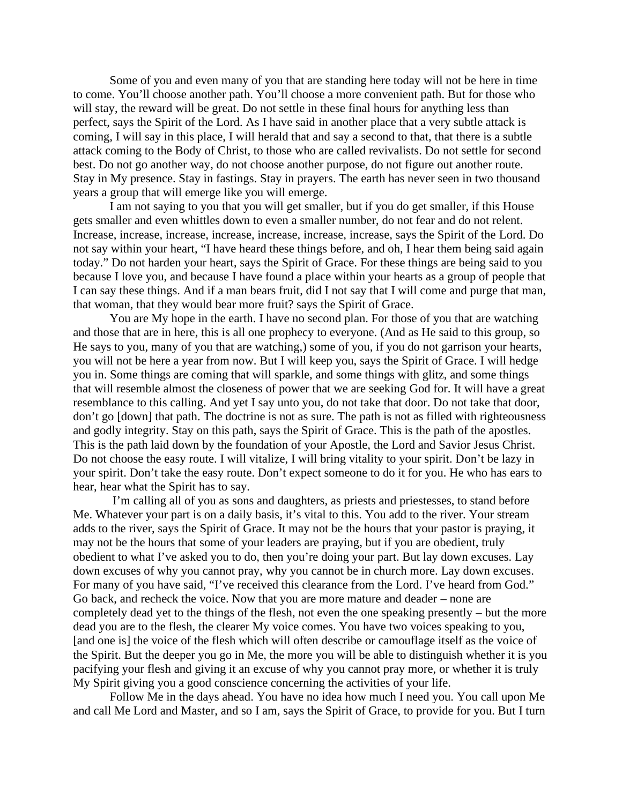Some of you and even many of you that are standing here today will not be here in time to come. You'll choose another path. You'll choose a more convenient path. But for those who will stay, the reward will be great. Do not settle in these final hours for anything less than perfect, says the Spirit of the Lord. As I have said in another place that a very subtle attack is coming, I will say in this place, I will herald that and say a second to that, that there is a subtle attack coming to the Body of Christ, to those who are called revivalists. Do not settle for second best. Do not go another way, do not choose another purpose, do not figure out another route. Stay in My presence. Stay in fastings. Stay in prayers. The earth has never seen in two thousand years a group that will emerge like you will emerge.

I am not saying to you that you will get smaller, but if you do get smaller, if this House gets smaller and even whittles down to even a smaller number, do not fear and do not relent. Increase, increase, increase, increase, increase, increase, increase, says the Spirit of the Lord. Do not say within your heart, "I have heard these things before, and oh, I hear them being said again today." Do not harden your heart, says the Spirit of Grace. For these things are being said to you because I love you, and because I have found a place within your hearts as a group of people that I can say these things. And if a man bears fruit, did I not say that I will come and purge that man, that woman, that they would bear more fruit? says the Spirit of Grace.

You are My hope in the earth. I have no second plan. For those of you that are watching and those that are in here, this is all one prophecy to everyone. (And as He said to this group, so He says to you, many of you that are watching,) some of you, if you do not garrison your hearts, you will not be here a year from now. But I will keep you, says the Spirit of Grace. I will hedge you in. Some things are coming that will sparkle, and some things with glitz, and some things that will resemble almost the closeness of power that we are seeking God for. It will have a great resemblance to this calling. And yet I say unto you, do not take that door. Do not take that door, don't go [down] that path. The doctrine is not as sure. The path is not as filled with righteousness and godly integrity. Stay on this path, says the Spirit of Grace. This is the path of the apostles. This is the path laid down by the foundation of your Apostle, the Lord and Savior Jesus Christ. Do not choose the easy route. I will vitalize, I will bring vitality to your spirit. Don't be lazy in your spirit. Don't take the easy route. Don't expect someone to do it for you. He who has ears to hear, hear what the Spirit has to say.

I'm calling all of you as sons and daughters, as priests and priestesses, to stand before Me. Whatever your part is on a daily basis, it's vital to this. You add to the river. Your stream adds to the river, says the Spirit of Grace. It may not be the hours that your pastor is praying, it may not be the hours that some of your leaders are praying, but if you are obedient, truly obedient to what I've asked you to do, then you're doing your part. But lay down excuses. Lay down excuses of why you cannot pray, why you cannot be in church more. Lay down excuses. For many of you have said, "I've received this clearance from the Lord. I've heard from God." Go back, and recheck the voice. Now that you are more mature and deader – none are completely dead yet to the things of the flesh, not even the one speaking presently – but the more dead you are to the flesh, the clearer My voice comes. You have two voices speaking to you, [and one is] the voice of the flesh which will often describe or camouflage itself as the voice of the Spirit. But the deeper you go in Me, the more you will be able to distinguish whether it is you pacifying your flesh and giving it an excuse of why you cannot pray more, or whether it is truly My Spirit giving you a good conscience concerning the activities of your life.

Follow Me in the days ahead. You have no idea how much I need you. You call upon Me and call Me Lord and Master, and so I am, says the Spirit of Grace, to provide for you. But I turn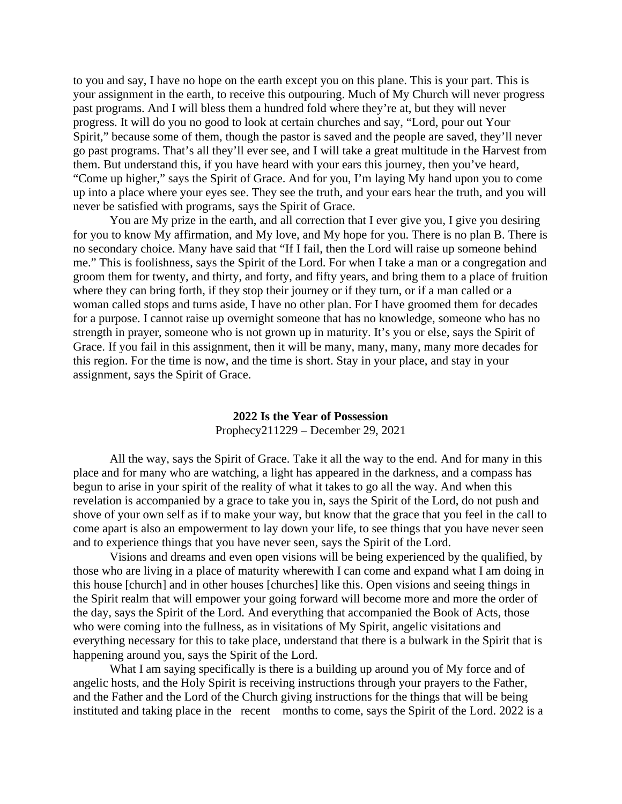to you and say, I have no hope on the earth except you on this plane. This is your part. This is your assignment in the earth, to receive this outpouring. Much of My Church will never progress past programs. And I will bless them a hundred fold where they're at, but they will never progress. It will do you no good to look at certain churches and say, "Lord, pour out Your Spirit," because some of them, though the pastor is saved and the people are saved, they'll never go past programs. That's all they'll ever see, and I will take a great multitude in the Harvest from them. But understand this, if you have heard with your ears this journey, then you've heard, "Come up higher," says the Spirit of Grace. And for you, I'm laying My hand upon you to come up into a place where your eyes see. They see the truth, and your ears hear the truth, and you will never be satisfied with programs, says the Spirit of Grace.

You are My prize in the earth, and all correction that I ever give you, I give you desiring for you to know My affirmation, and My love, and My hope for you. There is no plan B. There is no secondary choice. Many have said that "If I fail, then the Lord will raise up someone behind me." This is foolishness, says the Spirit of the Lord. For when I take a man or a congregation and groom them for twenty, and thirty, and forty, and fifty years, and bring them to a place of fruition where they can bring forth, if they stop their journey or if they turn, or if a man called or a woman called stops and turns aside, I have no other plan. For I have groomed them for decades for a purpose. I cannot raise up overnight someone that has no knowledge, someone who has no strength in prayer, someone who is not grown up in maturity. It's you or else, says the Spirit of Grace. If you fail in this assignment, then it will be many, many, many, many more decades for this region. For the time is now, and the time is short. Stay in your place, and stay in your assignment, says the Spirit of Grace.

## **2022 Is the Year of Possession**

Prophecy211229 – December 29, 2021

All the way, says the Spirit of Grace. Take it all the way to the end. And for many in this place and for many who are watching, a light has appeared in the darkness, and a compass has begun to arise in your spirit of the reality of what it takes to go all the way. And when this revelation is accompanied by a grace to take you in, says the Spirit of the Lord, do not push and shove of your own self as if to make your way, but know that the grace that you feel in the call to come apart is also an empowerment to lay down your life, to see things that you have never seen and to experience things that you have never seen, says the Spirit of the Lord.

Visions and dreams and even open visions will be being experienced by the qualified, by those who are living in a place of maturity wherewith I can come and expand what I am doing in this house [church] and in other houses [churches] like this. Open visions and seeing things in the Spirit realm that will empower your going forward will become more and more the order of the day, says the Spirit of the Lord. And everything that accompanied the Book of Acts, those who were coming into the fullness, as in visitations of My Spirit, angelic visitations and everything necessary for this to take place, understand that there is a bulwark in the Spirit that is happening around you, says the Spirit of the Lord.

What I am saying specifically is there is a building up around you of My force and of angelic hosts, and the Holy Spirit is receiving instructions through your prayers to the Father, and the Father and the Lord of the Church giving instructions for the things that will be being instituted and taking place in the recent months to come, says the Spirit of the Lord. 2022 is a